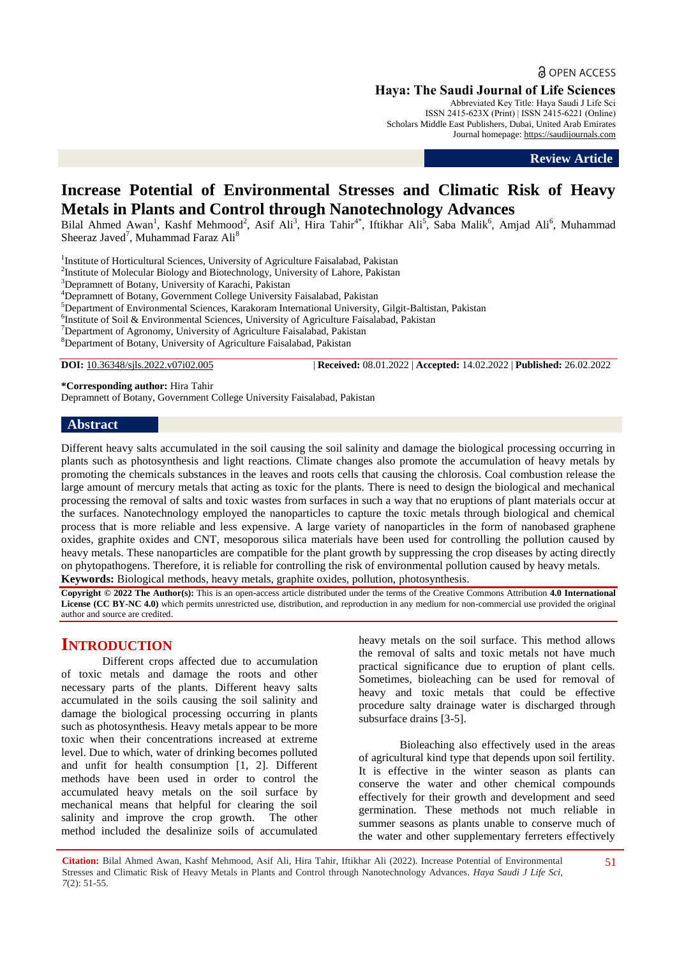**a** OPEN ACCESS

**Haya: The Saudi Journal of Life Sciences**

Abbreviated Key Title: Haya Saudi J Life Sci ISSN 2415-623X (Print) | ISSN 2415-6221 (Online) Scholars Middle East Publishers, Dubai, United Arab Emirates Journal homepage: [https://saudijournals.com](https://saudijournals.com/sjls)

**Review Article**

# **Increase Potential of Environmental Stresses and Climatic Risk of Heavy Metals in Plants and Control through Nanotechnology Advances**

Bilal Ahmed Awan<sup>1</sup>, Kashf Mehmood<sup>2</sup>, Asif Ali<sup>3</sup>, Hira Tahir<sup>4\*</sup>, Iftikhar Ali<sup>5</sup>, Saba Malik<sup>6</sup>, Amjad Ali<sup>6</sup>, Muhammad Sheeraz Javed<sup>7</sup>, Muhammad Faraz Ali<sup>8</sup>

<sup>1</sup>Institute of Horticultural Sciences, University of Agriculture Faisalabad, Pakistan

<sup>2</sup>Institute of Molecular Biology and Biotechnology, University of Lahore, Pakistan

<sup>3</sup>Depramnett of Botany, University of Karachi, Pakistan

<sup>4</sup>Depramnett of Botany, Government College University Faisalabad, Pakistan

<sup>5</sup>Department of Environmental Sciences, Karakoram International University, Gilgit-Baltistan, Pakistan

<sup>6</sup>Institute of Soil & Environmental Sciences, University of Agriculture Faisalabad, Pakistan

 $7$ Department of Agronomy, University of Agriculture Faisalabad, Pakistan

<sup>8</sup>Department of Botany, University of Agriculture Faisalabad, Pakistan

**DOI:** 10.36348/sjls.2022.v07i02.005 | **Received:** 08.01.2022 | **Accepted:** 14.02.2022 | **Published:** 26.02.2022

**\*Corresponding author:** Hira Tahir

Depramnett of Botany, Government College University Faisalabad, Pakistan

#### **Abstract**

Different heavy salts accumulated in the soil causing the soil salinity and damage the biological processing occurring in plants such as photosynthesis and light reactions. Climate changes also promote the accumulation of heavy metals by promoting the chemicals substances in the leaves and roots cells that causing the chlorosis. Coal combustion release the large amount of mercury metals that acting as toxic for the plants. There is need to design the biological and mechanical processing the removal of salts and toxic wastes from surfaces in such a way that no eruptions of plant materials occur at the surfaces. Nanotechnology employed the nanoparticles to capture the toxic metals through biological and chemical process that is more reliable and less expensive. A large variety of nanoparticles in the form of nanobased graphene oxides, graphite oxides and CNT, mesoporous silica materials have been used for controlling the pollution caused by heavy metals. These nanoparticles are compatible for the plant growth by suppressing the crop diseases by acting directly on phytopathogens. Therefore, it is reliable for controlling the risk of environmental pollution caused by heavy metals. **Keywords:** Biological methods, heavy metals, graphite oxides, pollution, photosynthesis.

**Copyright © 2022 The Author(s):** This is an open-access article distributed under the terms of the Creative Commons Attribution **4.0 International License (CC BY-NC 4.0)** which permits unrestricted use, distribution, and reproduction in any medium for non-commercial use provided the original author and source are credited.

# **INTRODUCTION**

Different crops affected due to accumulation of toxic metals and damage the roots and other necessary parts of the plants. Different heavy salts accumulated in the soils causing the soil salinity and damage the biological processing occurring in plants such as photosynthesis. Heavy metals appear to be more toxic when their concentrations increased at extreme level. Due to which, water of drinking becomes polluted and unfit for health consumption [1, 2]. Different methods have been used in order to control the accumulated heavy metals on the soil surface by mechanical means that helpful for clearing the soil salinity and improve the crop growth. The other method included the desalinize soils of accumulated

heavy metals on the soil surface. This method allows the removal of salts and toxic metals not have much practical significance due to eruption of plant cells. Sometimes, bioleaching can be used for removal of heavy and toxic metals that could be effective procedure salty drainage water is discharged through subsurface drains [3-5].

Bioleaching also effectively used in the areas of agricultural kind type that depends upon soil fertility. It is effective in the winter season as plants can conserve the water and other chemical compounds effectively for their growth and development and seed germination. These methods not much reliable in summer seasons as plants unable to conserve much of the water and other supplementary ferreters effectively

**Citation:** Bilal Ahmed Awan, Kashf Mehmood, Asif Ali, Hira Tahir, Iftikhar Ali (2022). Increase Potential of Environmental Stresses and Climatic Risk of Heavy Metals in Plants and Control through Nanotechnology Advances. *Haya Saudi J Life Sci, 7*(2): 51-55.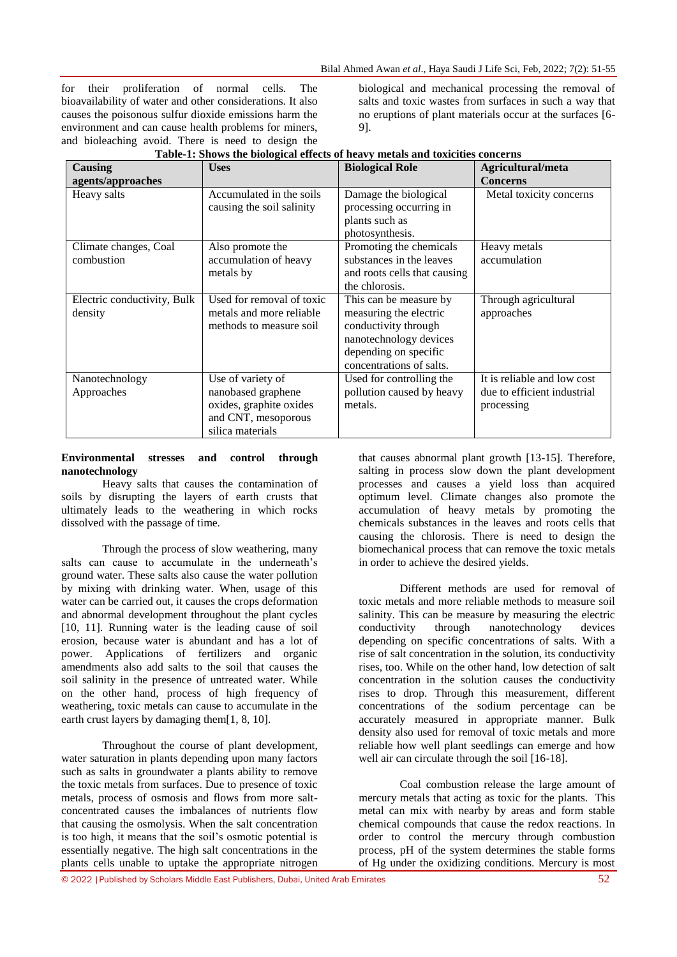for their proliferation of normal cells. The bioavailability of water and other considerations. It also causes the poisonous sulfur dioxide emissions harm the environment and can cause health problems for miners, and bioleaching avoid. There is need to design the

biological and mechanical processing the removal of salts and toxic wastes from surfaces in such a way that no eruptions of plant materials occur at the surfaces [6- 9].

| <b>Causing</b><br>agents/approaches    | <b>Uses</b>                                                                                                   | <b>Biological Role</b>                                                                                                                                  | Agricultural/meta<br><b>Concerns</b>                                     |
|----------------------------------------|---------------------------------------------------------------------------------------------------------------|---------------------------------------------------------------------------------------------------------------------------------------------------------|--------------------------------------------------------------------------|
| Heavy salts                            | Accumulated in the soils<br>causing the soil salinity                                                         | Damage the biological<br>processing occurring in<br>plants such as<br>photosynthesis.                                                                   | Metal toxicity concerns                                                  |
| Climate changes, Coal<br>combustion    | Also promote the<br>accumulation of heavy<br>metals by                                                        | Promoting the chemicals<br>substances in the leaves<br>and roots cells that causing<br>the chlorosis.                                                   | Heavy metals<br>accumulation                                             |
| Electric conductivity, Bulk<br>density | Used for removal of toxic<br>metals and more reliable<br>methods to measure soil                              | This can be measure by<br>measuring the electric<br>conductivity through<br>nanotechnology devices<br>depending on specific<br>concentrations of salts. | Through agricultural<br>approaches                                       |
| Nanotechnology<br>Approaches           | Use of variety of<br>nanobased graphene<br>oxides, graphite oxides<br>and CNT, mesoporous<br>silica materials | Used for controlling the<br>pollution caused by heavy<br>metals.                                                                                        | It is reliable and low cost<br>due to efficient industrial<br>processing |

## **Table-1: Shows the biological effects of heavy metals and toxicities concerns**

### **Environmental stresses and control through nanotechnology**

Heavy salts that causes the contamination of soils by disrupting the layers of earth crusts that ultimately leads to the weathering in which rocks dissolved with the passage of time.

Through the process of slow weathering, many salts can cause to accumulate in the underneath's ground water. These salts also cause the water pollution by mixing with drinking water. When, usage of this water can be carried out, it causes the crops deformation and abnormal development throughout the plant cycles [10, 11]. Running water is the leading cause of soil erosion, because water is abundant and has a lot of power. Applications of fertilizers and organic amendments also add salts to the soil that causes the soil salinity in the presence of untreated water. While on the other hand, process of high frequency of weathering, toxic metals can cause to accumulate in the earth crust layers by damaging them[1, 8, 10].

Throughout the course of plant development, water saturation in plants depending upon many factors such as salts in groundwater a plants ability to remove the toxic metals from surfaces. Due to presence of toxic metals, process of osmosis and flows from more saltconcentrated causes the imbalances of nutrients flow that causing the osmolysis. When the salt concentration is too high, it means that the soil's osmotic potential is essentially negative. The high salt concentrations in the plants cells unable to uptake the appropriate nitrogen that causes abnormal plant growth [13-15]. Therefore, salting in process slow down the plant development processes and causes a yield loss than acquired optimum level. Climate changes also promote the accumulation of heavy metals by promoting the chemicals substances in the leaves and roots cells that causing the chlorosis. There is need to design the biomechanical process that can remove the toxic metals in order to achieve the desired yields.

Different methods are used for removal of toxic metals and more reliable methods to measure soil salinity. This can be measure by measuring the electric conductivity through nanotechnology devices depending on specific concentrations of salts. With a rise of salt concentration in the solution, its conductivity rises, too. While on the other hand, low detection of salt concentration in the solution causes the conductivity rises to drop. Through this measurement, different concentrations of the sodium percentage can be accurately measured in appropriate manner. Bulk density also used for removal of toxic metals and more reliable how well plant seedlings can emerge and how well air can circulate through the soil [16-18].

Coal combustion release the large amount of mercury metals that acting as toxic for the plants. This metal can mix with nearby by areas and form stable chemical compounds that cause the redox reactions. In order to control the mercury through combustion process, pH of the system determines the stable forms of Hg under the oxidizing conditions. Mercury is most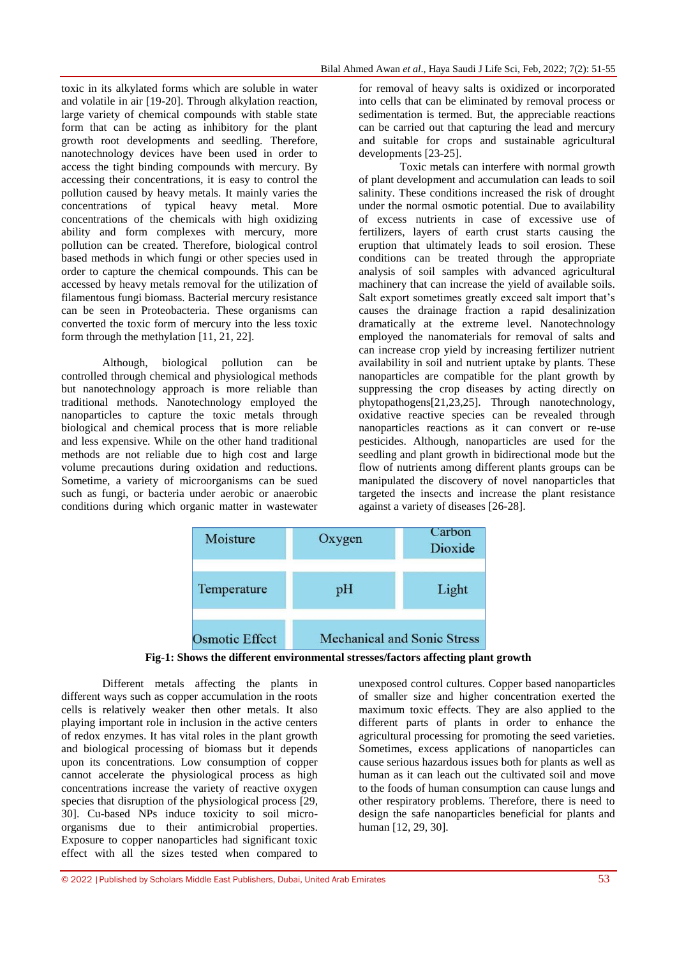toxic in its alkylated forms which are soluble in water and volatile in air [19-20]. Through alkylation reaction, large variety of chemical compounds with stable state form that can be acting as inhibitory for the plant growth root developments and seedling. Therefore, nanotechnology devices have been used in order to access the tight binding compounds with mercury. By accessing their concentrations, it is easy to control the pollution caused by heavy metals. It mainly varies the concentrations of typical heavy metal. More concentrations of the chemicals with high oxidizing ability and form complexes with mercury, more pollution can be created. Therefore, biological control based methods in which fungi or other species used in order to capture the chemical compounds. This can be accessed by heavy metals removal for the utilization of filamentous fungi biomass. Bacterial mercury resistance can be seen in Proteobacteria. These organisms can converted the toxic form of mercury into the less toxic form through the methylation [11, 21, 22].

Although, biological pollution can be controlled through chemical and physiological methods but nanotechnology approach is more reliable than traditional methods. Nanotechnology employed the nanoparticles to capture the toxic metals through biological and chemical process that is more reliable and less expensive. While on the other hand traditional methods are not reliable due to high cost and large volume precautions during oxidation and reductions. Sometime, a variety of microorganisms can be sued such as fungi, or bacteria under aerobic or anaerobic conditions during which organic matter in wastewater for removal of heavy salts is oxidized or incorporated into cells that can be eliminated by removal process or sedimentation is termed. But, the appreciable reactions can be carried out that capturing the lead and mercury and suitable for crops and sustainable agricultural developments [23-25].

Toxic metals can interfere with normal growth of plant development and accumulation can leads to soil salinity. These conditions increased the risk of drought under the normal osmotic potential. Due to availability of excess nutrients in case of excessive use of fertilizers, layers of earth crust starts causing the eruption that ultimately leads to soil erosion. These conditions can be treated through the appropriate analysis of soil samples with advanced agricultural machinery that can increase the yield of available soils. Salt export sometimes greatly exceed salt import that's causes the drainage fraction a rapid desalinization dramatically at the extreme level. Nanotechnology employed the nanomaterials for removal of salts and can increase crop yield by increasing fertilizer nutrient availability in soil and nutrient uptake by plants. These nanoparticles are compatible for the plant growth by suppressing the crop diseases by acting directly on phytopathogens[21,23,25]. Through nanotechnology, oxidative reactive species can be revealed through nanoparticles reactions as it can convert or re-use pesticides. Although, nanoparticles are used for the seedling and plant growth in bidirectional mode but the flow of nutrients among different plants groups can be manipulated the discovery of novel nanoparticles that targeted the insects and increase the plant resistance against a variety of diseases [26-28].



**Fig-1: Shows the different environmental stresses/factors affecting plant growth**

Different metals affecting the plants in different ways such as copper accumulation in the roots cells is relatively weaker then other metals. It also playing important role in inclusion in the active centers of redox enzymes. It has vital roles in the plant growth and biological processing of biomass but it depends upon its concentrations. Low consumption of copper cannot accelerate the physiological process as high concentrations increase the variety of reactive oxygen species that disruption of the physiological process [29, 30]. Cu-based NPs induce toxicity to soil microorganisms due to their antimicrobial properties. Exposure to copper nanoparticles had significant toxic effect with all the sizes tested when compared to unexposed control cultures. Copper based nanoparticles of smaller size and higher concentration exerted the maximum toxic effects. They are also applied to the different parts of plants in order to enhance the agricultural processing for promoting the seed varieties. Sometimes, excess applications of nanoparticles can cause serious hazardous issues both for plants as well as human as it can leach out the cultivated soil and move to the foods of human consumption can cause lungs and other respiratory problems. Therefore, there is need to design the safe nanoparticles beneficial for plants and human [12, 29, 30].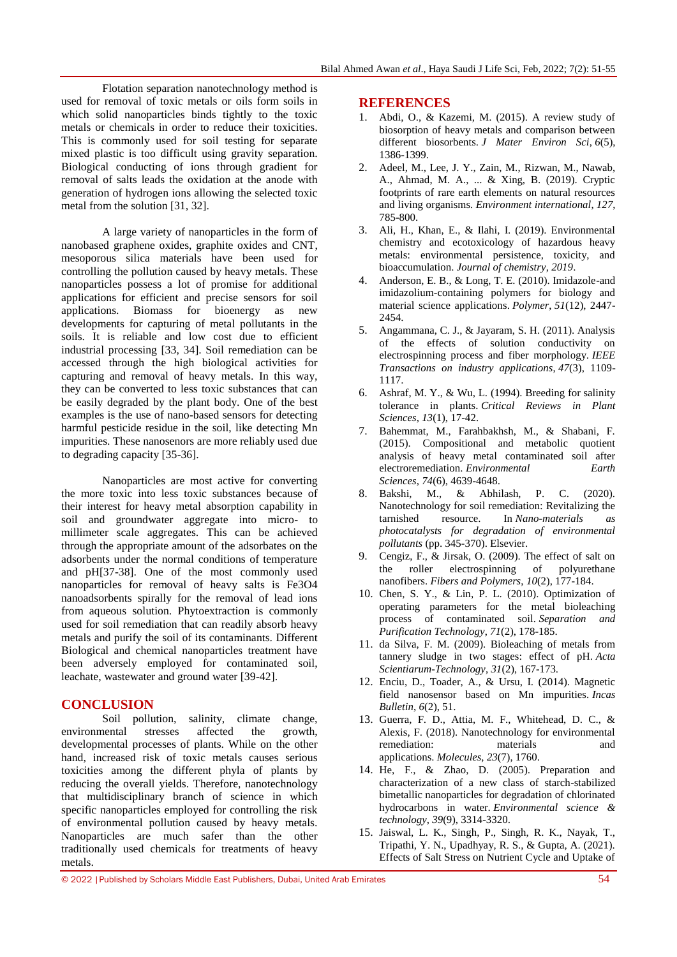Flotation separation nanotechnology method is used for removal of toxic metals or oils form soils in which solid nanoparticles binds tightly to the toxic metals or chemicals in order to reduce their toxicities. This is commonly used for soil testing for separate mixed plastic is too difficult using gravity separation. Biological conducting of ions through gradient for removal of salts leads the oxidation at the anode with generation of hydrogen ions allowing the selected toxic metal from the solution [31, 32].

A large variety of nanoparticles in the form of nanobased graphene oxides, graphite oxides and CNT, mesoporous silica materials have been used for controlling the pollution caused by heavy metals. These nanoparticles possess a lot of promise for additional applications for efficient and precise sensors for soil applications. Biomass for bioenergy as new developments for capturing of metal pollutants in the soils. It is reliable and low cost due to efficient industrial processing [33, 34]. Soil remediation can be accessed through the high biological activities for capturing and removal of heavy metals. In this way, they can be converted to less toxic substances that can be easily degraded by the plant body. One of the best examples is the use of nano-based sensors for detecting harmful pesticide residue in the soil, like detecting Mn impurities. These nanosenors are more reliably used due to degrading capacity [35-36].

Nanoparticles are most active for converting the more toxic into less toxic substances because of their interest for heavy metal absorption capability in soil and groundwater aggregate into micro- to millimeter scale aggregates. This can be achieved through the appropriate amount of the adsorbates on the adsorbents under the normal conditions of temperature and pH[37-38]. One of the most commonly used nanoparticles for removal of heavy salts is Fe3O4 nanoadsorbents spirally for the removal of lead ions from aqueous solution. Phytoextraction is commonly used for soil remediation that can readily absorb heavy metals and purify the soil of its contaminants. Different Biological and chemical nanoparticles treatment have been adversely employed for contaminated soil, leachate, wastewater and ground water [39-42].

# **CONCLUSION**

Soil pollution, salinity, climate change, environmental stresses affected the growth, developmental processes of plants. While on the other hand, increased risk of toxic metals causes serious toxicities among the different phyla of plants by reducing the overall yields. Therefore, nanotechnology that multidisciplinary branch of science in which specific nanoparticles employed for controlling the risk of environmental pollution caused by heavy metals. Nanoparticles are much safer than the other traditionally used chemicals for treatments of heavy metals.

### **REFERENCES**

- 1. Abdi, O., & Kazemi, M. (2015). A review study of biosorption of heavy metals and comparison between different biosorbents. *J Mater Environ Sci*, *6*(5), 1386-1399.
- 2. Adeel, M., Lee, J. Y., Zain, M., Rizwan, M., Nawab, A., Ahmad, M. A., ... & Xing, B. (2019). Cryptic footprints of rare earth elements on natural resources and living organisms. *Environment international*, *127*, 785-800.
- 3. Ali, H., Khan, E., & Ilahi, I. (2019). Environmental chemistry and ecotoxicology of hazardous heavy metals: environmental persistence, toxicity, and bioaccumulation. *Journal of chemistry*, *2019*.
- 4. Anderson, E. B., & Long, T. E. (2010). Imidazole-and imidazolium-containing polymers for biology and material science applications. *Polymer*, *51*(12), 2447- 2454.
- 5. Angammana, C. J., & Jayaram, S. H. (2011). Analysis of the effects of solution conductivity on electrospinning process and fiber morphology. *IEEE Transactions on industry applications*, *47*(3), 1109- 1117.
- 6. Ashraf, M. Y., & Wu, L. (1994). Breeding for salinity tolerance in plants. *Critical Reviews in Plant Sciences*, *13*(1), 17-42.
- 7. Bahemmat, M., Farahbakhsh, M., & Shabani, F. (2015). Compositional and metabolic quotient analysis of heavy metal contaminated soil after electroremediation. *Environmental Earth Sciences*, *74*(6), 4639-4648.
- 8. Bakshi, M., & Abhilash, P. C. (2020). Nanotechnology for soil remediation: Revitalizing the tarnished resource. In *Nano-materials as photocatalysts for degradation of environmental pollutants* (pp. 345-370). Elsevier.
- 9. Cengiz, F., & Jirsak, O. (2009). The effect of salt on the roller electrospinning of polyurethane the roller electrospinning of nanofibers. *Fibers and Polymers*, *10*(2), 177-184.
- 10. Chen, S. Y., & Lin, P. L. (2010). Optimization of operating parameters for the metal bioleaching process of contaminated soil. *Separation and Purification Technology*, *71*(2), 178-185.
- 11. da Silva, F. M. (2009). Bioleaching of metals from tannery sludge in two stages: effect of pH. *Acta Scientiarum-Technology*, *31*(2), 167-173.
- 12. Enciu, D., Toader, A., & Ursu, I. (2014). Magnetic field nanosensor based on Mn impurities. *Incas Bulletin*, *6*(2), 51.
- 13. Guerra, F. D., Attia, M. F., Whitehead, D. C., & Alexis, F. (2018). Nanotechnology for environmental remediation: materials and applications. *Molecules*, *23*(7), 1760.
- 14. He, F., & Zhao, D. (2005). Preparation and characterization of a new class of starch-stabilized bimetallic nanoparticles for degradation of chlorinated hydrocarbons in water. *Environmental science & technology*, *39*(9), 3314-3320.
- 15. Jaiswal, L. K., Singh, P., Singh, R. K., Nayak, T., Tripathi, Y. N., Upadhyay, R. S., & Gupta, A. (2021). Effects of Salt Stress on Nutrient Cycle and Uptake of